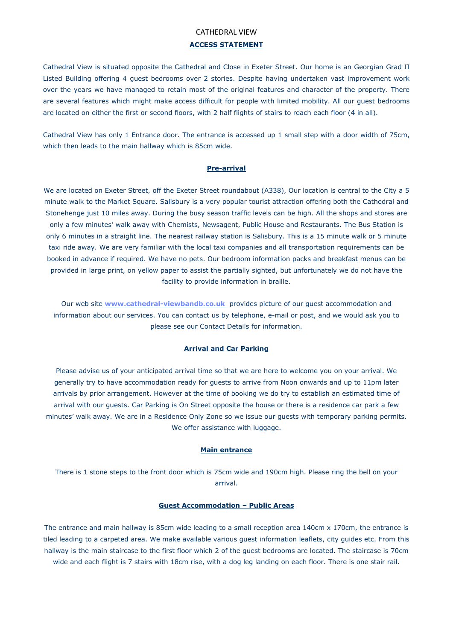## CATHEDRAL VIEW

# **ACCESS STATEMENT**

Cathedral View is situated opposite the Cathedral and Close in Exeter Street. Our home is an Georgian Grad II Listed Building offering 4 guest bedrooms over 2 stories. Despite having undertaken vast improvement work over the years we have managed to retain most of the original features and character of the property. There are several features which might make access difficult for people with limited mobility. All our guest bedrooms are located on either the first or second floors, with 2 half flights of stairs to reach each floor (4 in all).

Cathedral View has only 1 Entrance door. The entrance is accessed up 1 small step with a door width of 75cm, which then leads to the main hallway which is 85cm wide.

#### **Pre-arrival**

We are located on Exeter Street, off the Exeter Street roundabout (A338), Our location is central to the City a 5 minute walk to the Market Square. Salisbury is a very popular tourist attraction offering both the Cathedral and Stonehenge just 10 miles away. During the busy season traffic levels can be high. All the shops and stores are only a few minutes' walk away with Chemists, Newsagent, Public House and Restaurants. The Bus Station is only 6 minutes in a straight line. The nearest railway station is Salisbury. This is a 15 minute walk or 5 minute taxi ride away. We are very familiar with the local taxi companies and all transportation requirements can be booked in advance if required. We have no pets. Our bedroom information packs and breakfast menus can be provided in large print, on yellow paper to assist the partially sighted, but unfortunately we do not have the facility to provide information in braille.

Our web site **[www.cathedral-viewbandb.co.uk](http://www.cathedral-viewbandb.co.uk/)** provides picture of our guest accommodation and information about our services. You can contact us by telephone, e-mail or post, and we would ask you to please see our Contact Details for information.

### **Arrival and Car Parking**

Please advise us of your anticipated arrival time so that we are here to welcome you on your arrival. We generally try to have accommodation ready for guests to arrive from Noon onwards and up to 11pm later arrivals by prior arrangement. However at the time of booking we do try to establish an estimated time of arrival with our guests. Car Parking is On Street opposite the house or there is a residence car park a few minutes' walk away. We are in a Residence Only Zone so we issue our guests with temporary parking permits. We offer assistance with luggage.

#### **Main entrance**

There is 1 stone steps to the front door which is 75cm wide and 190cm high. Please ring the bell on your arrival.

#### **Guest Accommodation – Public Areas**

The entrance and main hallway is 85cm wide leading to a small reception area 140cm x 170cm, the entrance is tiled leading to a carpeted area. We make available various guest information leaflets, city guides etc. From this hallway is the main staircase to the first floor which 2 of the guest bedrooms are located. The staircase is 70cm wide and each flight is 7 stairs with 18cm rise, with a dog leg landing on each floor. There is one stair rail.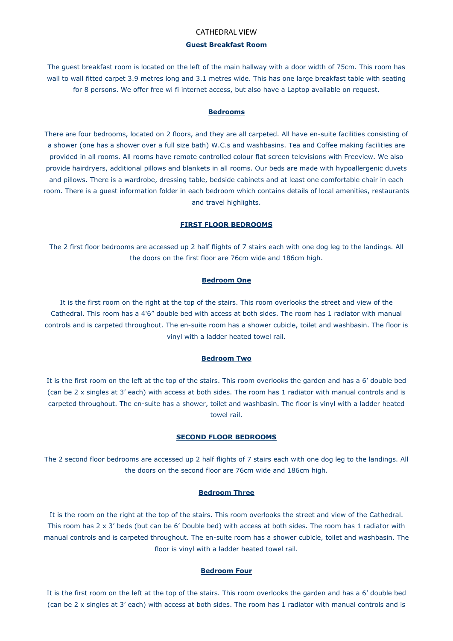## CATHEDRAL VIEW

# **Guest Breakfast Room**

The guest breakfast room is located on the left of the main hallway with a door width of 75cm. This room has wall to wall fitted carpet 3.9 metres long and 3.1 metres wide. This has one large breakfast table with seating for 8 persons. We offer free wi fi internet access, but also have a Laptop available on request.

### **Bedrooms**

There are four bedrooms, located on 2 floors, and they are all carpeted. All have en-suite facilities consisting of a shower (one has a shower over a full size bath) W.C.s and washbasins. Tea and Coffee making facilities are provided in all rooms. All rooms have remote controlled colour flat screen televisions with Freeview. We also provide hairdryers, additional pillows and blankets in all rooms. Our beds are made with hypoallergenic duvets and pillows. There is a wardrobe, dressing table, bedside cabinets and at least one comfortable chair in each room. There is a guest information folder in each bedroom which contains details of local amenities, restaurants and travel highlights.

#### **FIRST FLOOR BEDROOMS**

The 2 first floor bedrooms are accessed up 2 half flights of 7 stairs each with one dog leg to the landings. All the doors on the first floor are 76cm wide and 186cm high.

## **Bedroom One**

It is the first room on the right at the top of the stairs. This room overlooks the street and view of the Cathedral. This room has a 4'6" double bed with access at both sides. The room has 1 radiator with manual controls and is carpeted throughout. The en-suite room has a shower cubicle, toilet and washbasin. The floor is vinyl with a ladder heated towel rail.

#### **Bedroom Two**

It is the first room on the left at the top of the stairs. This room overlooks the garden and has a 6' double bed (can be 2 x singles at 3' each) with access at both sides. The room has 1 radiator with manual controls and is carpeted throughout. The en-suite has a shower, toilet and washbasin. The floor is vinyl with a ladder heated towel rail.

# **SECOND FLOOR BEDROOMS**

The 2 second floor bedrooms are accessed up 2 half flights of 7 stairs each with one dog leg to the landings. All the doors on the second floor are 76cm wide and 186cm high.

### **Bedroom Three**

It is the room on the right at the top of the stairs. This room overlooks the street and view of the Cathedral. This room has 2 x 3' beds (but can be 6' Double bed) with access at both sides. The room has 1 radiator with manual controls and is carpeted throughout. The en-suite room has a shower cubicle, toilet and washbasin. The floor is vinyl with a ladder heated towel rail.

### **Bedroom Four**

It is the first room on the left at the top of the stairs. This room overlooks the garden and has a 6' double bed (can be 2 x singles at 3' each) with access at both sides. The room has 1 radiator with manual controls and is